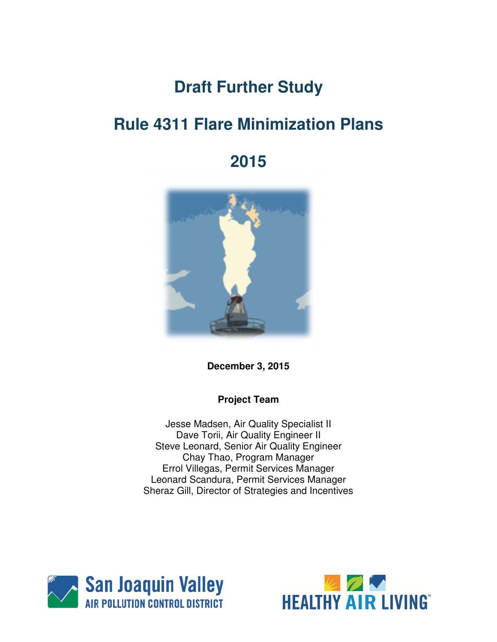# **Draft Further Study**

# **Rule 4311 Flare Minimization Plans**

# **2015**



**December 3, 2015** 

#### **Project Team**

Jesse Madsen, Air Quality Specialist II Dave Torii, Air Quality Engineer II Steve Leonard, Senior Air Quality Engineer Chay Thao, Program Manager Errol Villegas, Permit Services Manager Leonard Scandura, Permit Services Manager Sheraz Gill, Director of Strategies and Incentives



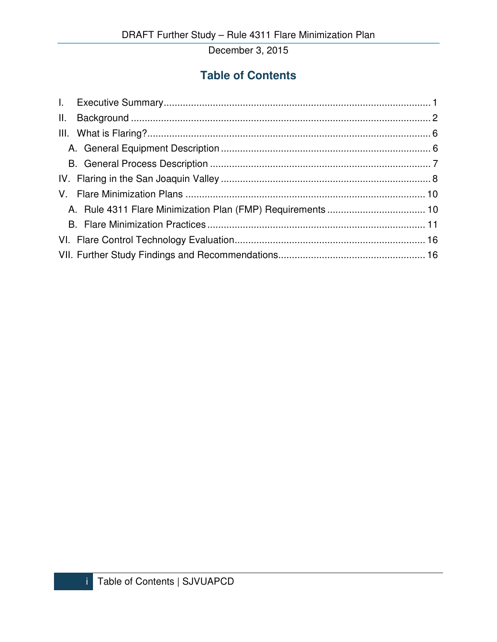# **Table of Contents**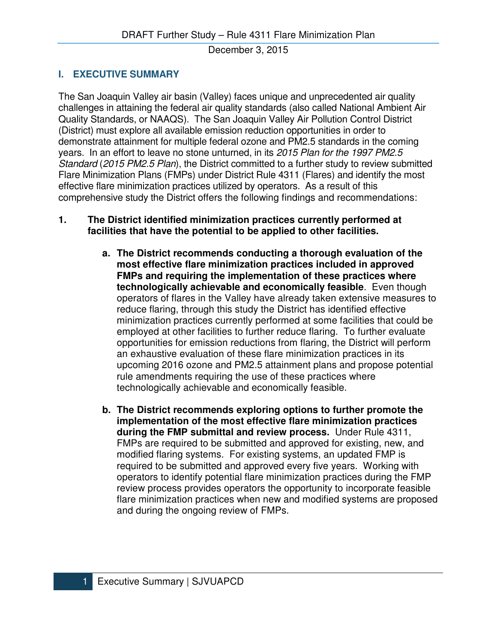# **I. EXECUTIVE SUMMARY**

The San Joaquin Valley air basin (Valley) faces unique and unprecedented air quality challenges in attaining the federal air quality standards (also called National Ambient Air Quality Standards, or NAAQS). The San Joaquin Valley Air Pollution Control District (District) must explore all available emission reduction opportunities in order to demonstrate attainment for multiple federal ozone and PM2.5 standards in the coming years. In an effort to leave no stone unturned, in its 2015 Plan for the 1997 PM2.5 Standard (2015 PM2.5 Plan), the District committed to a further study to review submitted Flare Minimization Plans (FMPs) under District Rule 4311 (Flares) and identify the most effective flare minimization practices utilized by operators. As a result of this comprehensive study the District offers the following findings and recommendations:

#### **1. The District identified minimization practices currently performed at facilities that have the potential to be applied to other facilities.**

- **a. The District recommends conducting a thorough evaluation of the most effective flare minimization practices included in approved FMPs and requiring the implementation of these practices where technologically achievable and economically feasible**. Even though operators of flares in the Valley have already taken extensive measures to reduce flaring, through this study the District has identified effective minimization practices currently performed at some facilities that could be employed at other facilities to further reduce flaring. To further evaluate opportunities for emission reductions from flaring, the District will perform an exhaustive evaluation of these flare minimization practices in its upcoming 2016 ozone and PM2.5 attainment plans and propose potential rule amendments requiring the use of these practices where technologically achievable and economically feasible.
- **b. The District recommends exploring options to further promote the implementation of the most effective flare minimization practices during the FMP submittal and review process.** Under Rule 4311, FMPs are required to be submitted and approved for existing, new, and modified flaring systems. For existing systems, an updated FMP is required to be submitted and approved every five years. Working with operators to identify potential flare minimization practices during the FMP review process provides operators the opportunity to incorporate feasible flare minimization practices when new and modified systems are proposed and during the ongoing review of FMPs.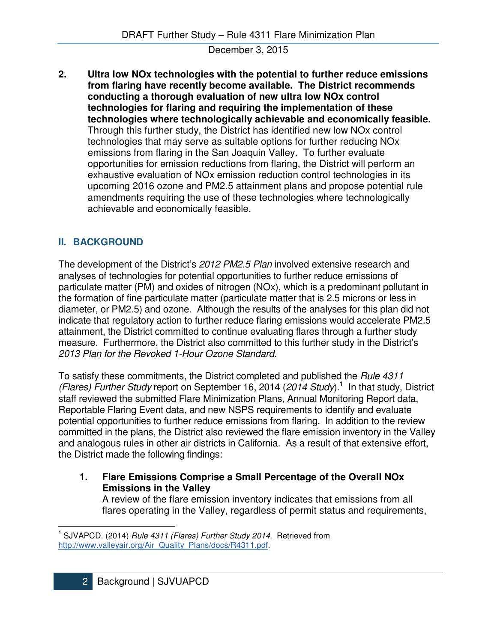**2. Ultra low NOx technologies with the potential to further reduce emissions from flaring have recently become available. The District recommends conducting a thorough evaluation of new ultra low NOx control technologies for flaring and requiring the implementation of these technologies where technologically achievable and economically feasible.**  Through this further study, the District has identified new low NOx control technologies that may serve as suitable options for further reducing NOx emissions from flaring in the San Joaquin Valley. To further evaluate opportunities for emission reductions from flaring, the District will perform an exhaustive evaluation of NOx emission reduction control technologies in its upcoming 2016 ozone and PM2.5 attainment plans and propose potential rule amendments requiring the use of these technologies where technologically achievable and economically feasible.

# **II. BACKGROUND**

 $\overline{a}$ 

The development of the District's 2012 PM2.5 Plan involved extensive research and analyses of technologies for potential opportunities to further reduce emissions of particulate matter (PM) and oxides of nitrogen (NOx), which is a predominant pollutant in the formation of fine particulate matter (particulate matter that is 2.5 microns or less in diameter, or PM2.5) and ozone. Although the results of the analyses for this plan did not indicate that regulatory action to further reduce flaring emissions would accelerate PM2.5 attainment, the District committed to continue evaluating flares through a further study measure. Furthermore, the District also committed to this further study in the District's 2013 Plan for the Revoked 1-Hour Ozone Standard.

To satisfy these commitments, the District completed and published the Rule 4311 (Flares) Further Study report on September 16, 2014 (2014 Study).<sup>1</sup> In that study, District staff reviewed the submitted Flare Minimization Plans, Annual Monitoring Report data, Reportable Flaring Event data, and new NSPS requirements to identify and evaluate potential opportunities to further reduce emissions from flaring. In addition to the review committed in the plans, the District also reviewed the flare emission inventory in the Valley and analogous rules in other air districts in California. As a result of that extensive effort, the District made the following findings:

**1. Flare Emissions Comprise a Small Percentage of the Overall NOx Emissions in the Valley** 

A review of the flare emission inventory indicates that emissions from all flares operating in the Valley, regardless of permit status and requirements,

<sup>&</sup>lt;sup>1</sup> SJVAPCD. (2014) Rule 4311 (Flares) Further Study 2014. Retrieved from http://www.valleyair.org/Air\_Quality\_Plans/docs/R4311.pdf.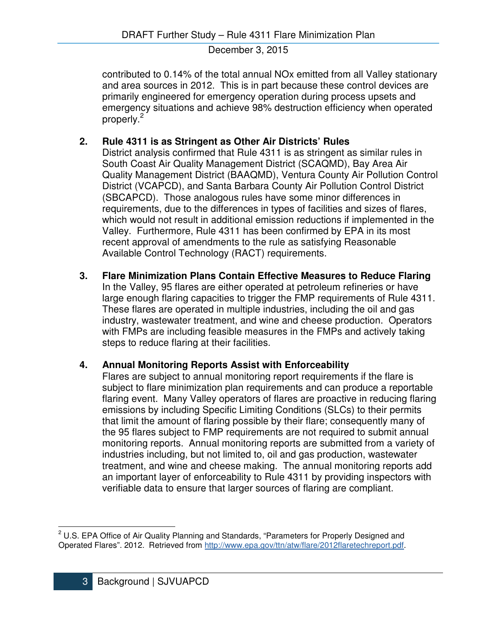contributed to 0.14% of the total annual NOx emitted from all Valley stationary and area sources in 2012. This is in part because these control devices are primarily engineered for emergency operation during process upsets and emergency situations and achieve 98% destruction efficiency when operated properly.<sup>2</sup>

# **2. Rule 4311 is as Stringent as Other Air Districts' Rules**

District analysis confirmed that Rule 4311 is as stringent as similar rules in South Coast Air Quality Management District (SCAQMD), Bay Area Air Quality Management District (BAAQMD), Ventura County Air Pollution Control District (VCAPCD), and Santa Barbara County Air Pollution Control District (SBCAPCD). Those analogous rules have some minor differences in requirements, due to the differences in types of facilities and sizes of flares, which would not result in additional emission reductions if implemented in the Valley. Furthermore, Rule 4311 has been confirmed by EPA in its most recent approval of amendments to the rule as satisfying Reasonable Available Control Technology (RACT) requirements.

**3. Flare Minimization Plans Contain Effective Measures to Reduce Flaring**  In the Valley, 95 flares are either operated at petroleum refineries or have large enough flaring capacities to trigger the FMP requirements of Rule 4311. These flares are operated in multiple industries, including the oil and gas industry, wastewater treatment, and wine and cheese production. Operators with FMPs are including feasible measures in the FMPs and actively taking steps to reduce flaring at their facilities.

# **4. Annual Monitoring Reports Assist with Enforceability**

Flares are subject to annual monitoring report requirements if the flare is subject to flare minimization plan requirements and can produce a reportable flaring event. Many Valley operators of flares are proactive in reducing flaring emissions by including Specific Limiting Conditions (SLCs) to their permits that limit the amount of flaring possible by their flare; consequently many of the 95 flares subject to FMP requirements are not required to submit annual monitoring reports. Annual monitoring reports are submitted from a variety of industries including, but not limited to, oil and gas production, wastewater treatment, and wine and cheese making. The annual monitoring reports add an important layer of enforceability to Rule 4311 by providing inspectors with verifiable data to ensure that larger sources of flaring are compliant.

 $\overline{a}$ 

<sup>&</sup>lt;sup>2</sup> U.S. EPA Office of Air Quality Planning and Standards, "Parameters for Properly Designed and Operated Flares". 2012. Retrieved from http://www.epa.gov/ttn/atw/flare/2012flaretechreport.pdf.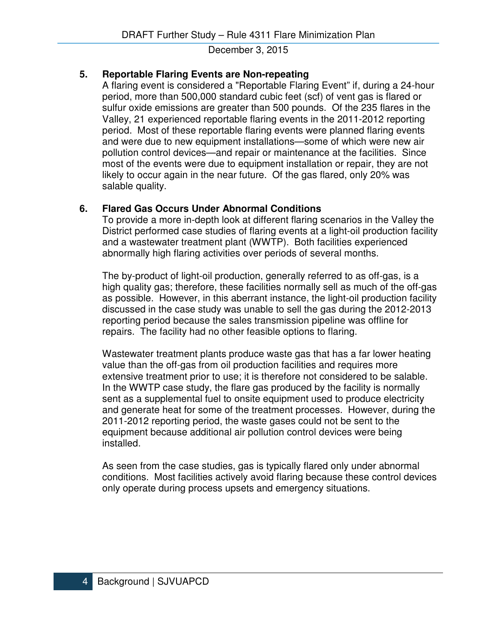# **5. Reportable Flaring Events are Non-repeating**

A flaring event is considered a "Reportable Flaring Event" if, during a 24-hour period, more than 500,000 standard cubic feet (scf) of vent gas is flared or sulfur oxide emissions are greater than 500 pounds. Of the 235 flares in the Valley, 21 experienced reportable flaring events in the 2011-2012 reporting period. Most of these reportable flaring events were planned flaring events and were due to new equipment installations—some of which were new air pollution control devices—and repair or maintenance at the facilities. Since most of the events were due to equipment installation or repair, they are not likely to occur again in the near future. Of the gas flared, only 20% was salable quality.

# **6. Flared Gas Occurs Under Abnormal Conditions**

To provide a more in-depth look at different flaring scenarios in the Valley the District performed case studies of flaring events at a light-oil production facility and a wastewater treatment plant (WWTP). Both facilities experienced abnormally high flaring activities over periods of several months.

The by-product of light-oil production, generally referred to as off-gas, is a high quality gas; therefore, these facilities normally sell as much of the off-gas as possible. However, in this aberrant instance, the light-oil production facility discussed in the case study was unable to sell the gas during the 2012-2013 reporting period because the sales transmission pipeline was offline for repairs. The facility had no other feasible options to flaring.

Wastewater treatment plants produce waste gas that has a far lower heating value than the off-gas from oil production facilities and requires more extensive treatment prior to use; it is therefore not considered to be salable. In the WWTP case study, the flare gas produced by the facility is normally sent as a supplemental fuel to onsite equipment used to produce electricity and generate heat for some of the treatment processes. However, during the 2011-2012 reporting period, the waste gases could not be sent to the equipment because additional air pollution control devices were being installed.

As seen from the case studies, gas is typically flared only under abnormal conditions. Most facilities actively avoid flaring because these control devices only operate during process upsets and emergency situations.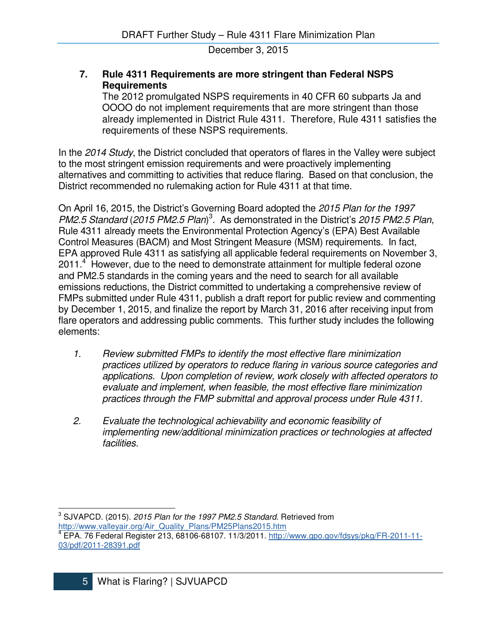#### **7. Rule 4311 Requirements are more stringent than Federal NSPS Requirements**

The 2012 promulgated NSPS requirements in 40 CFR 60 subparts Ja and OOOO do not implement requirements that are more stringent than those already implemented in District Rule 4311. Therefore, Rule 4311 satisfies the requirements of these NSPS requirements.

In the 2014 Study, the District concluded that operators of flares in the Valley were subject to the most stringent emission requirements and were proactively implementing alternatives and committing to activities that reduce flaring. Based on that conclusion, the District recommended no rulemaking action for Rule 4311 at that time.

On April 16, 2015, the District's Governing Board adopted the 2015 Plan for the 1997 PM2.5 Standard (2015 PM2.5 Plan)<sup>3</sup>. As demonstrated in the District's 2015 PM2.5 Plan, Rule 4311 already meets the Environmental Protection Agency's (EPA) Best Available Control Measures (BACM) and Most Stringent Measure (MSM) requirements. In fact, EPA approved Rule 4311 as satisfying all applicable federal requirements on November 3, 2011.<sup>4</sup> However, due to the need to demonstrate attainment for multiple federal ozone and PM2.5 standards in the coming years and the need to search for all available emissions reductions, the District committed to undertaking a comprehensive review of FMPs submitted under Rule 4311, publish a draft report for public review and commenting by December 1, 2015, and finalize the report by March 31, 2016 after receiving input from flare operators and addressing public comments. This further study includes the following elements:

- 1. Review submitted FMPs to identify the most effective flare minimization practices utilized by operators to reduce flaring in various source categories and applications. Upon completion of review, work closely with affected operators to evaluate and implement, when feasible, the most effective flare minimization practices through the FMP submittal and approval process under Rule 4311.
- 2. Evaluate the technological achievability and economic feasibility of implementing new/additional minimization practices or technologies at affected facilities.

l

 $^3$  SJVAPCD. (2015). 2015 Plan for the 1997 PM2.5 Standard. Retrieved from http://www.valleyair.org/Air\_Quality\_Plans/PM25Plans2015.htm<br><sup>4</sup> EBA\_76 Foderal Beginter 212, 69106,69107, 11/2/2011, http:// EPA. 76 Federal Register 213, 68106-68107. 11/3/2011. http://www.gpo.gov/fdsys/pkg/FR-2011-11- 03/pdf/2011-28391.pdf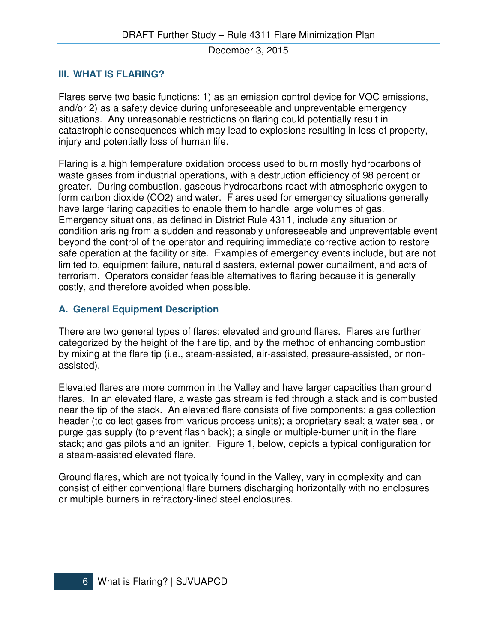#### **III. WHAT IS FLARING?**

Flares serve two basic functions: 1) as an emission control device for VOC emissions, and/or 2) as a safety device during unforeseeable and unpreventable emergency situations. Any unreasonable restrictions on flaring could potentially result in catastrophic consequences which may lead to explosions resulting in loss of property, injury and potentially loss of human life.

Flaring is a high temperature oxidation process used to burn mostly hydrocarbons of waste gases from industrial operations, with a destruction efficiency of 98 percent or greater. During combustion, gaseous hydrocarbons react with atmospheric oxygen to form carbon dioxide (CO2) and water. Flares used for emergency situations generally have large flaring capacities to enable them to handle large volumes of gas. Emergency situations, as defined in District Rule 4311, include any situation or condition arising from a sudden and reasonably unforeseeable and unpreventable event beyond the control of the operator and requiring immediate corrective action to restore safe operation at the facility or site. Examples of emergency events include, but are not limited to, equipment failure, natural disasters, external power curtailment, and acts of terrorism. Operators consider feasible alternatives to flaring because it is generally costly, and therefore avoided when possible.

# **A. General Equipment Description**

There are two general types of flares: elevated and ground flares. Flares are further categorized by the height of the flare tip, and by the method of enhancing combustion by mixing at the flare tip (i.e., steam-assisted, air-assisted, pressure-assisted, or nonassisted).

Elevated flares are more common in the Valley and have larger capacities than ground flares. In an elevated flare, a waste gas stream is fed through a stack and is combusted near the tip of the stack. An elevated flare consists of five components: a gas collection header (to collect gases from various process units); a proprietary seal; a water seal, or purge gas supply (to prevent flash back); a single or multiple-burner unit in the flare stack; and gas pilots and an igniter. Figure 1, below, depicts a typical configuration for a steam-assisted elevated flare.

Ground flares, which are not typically found in the Valley, vary in complexity and can consist of either conventional flare burners discharging horizontally with no enclosures or multiple burners in refractory-lined steel enclosures.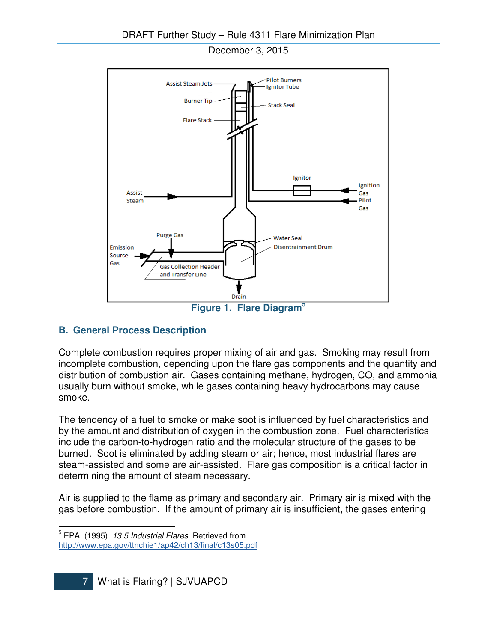

# **B. General Process Description**

Complete combustion requires proper mixing of air and gas. Smoking may result from incomplete combustion, depending upon the flare gas components and the quantity and distribution of combustion air. Gases containing methane, hydrogen, CO, and ammonia usually burn without smoke, while gases containing heavy hydrocarbons may cause smoke.

The tendency of a fuel to smoke or make soot is influenced by fuel characteristics and by the amount and distribution of oxygen in the combustion zone. Fuel characteristics include the carbon-to-hydrogen ratio and the molecular structure of the gases to be burned. Soot is eliminated by adding steam or air; hence, most industrial flares are steam-assisted and some are air-assisted. Flare gas composition is a critical factor in determining the amount of steam necessary.

Air is supplied to the flame as primary and secondary air. Primary air is mixed with the gas before combustion. If the amount of primary air is insufficient, the gases entering

 $\overline{a}$ 

<sup>&</sup>lt;sup>5</sup> EPA. (1995). 13.5 Industrial Flares. Retrieved from http://www.epa.gov/ttnchie1/ap42/ch13/final/c13s05.pdf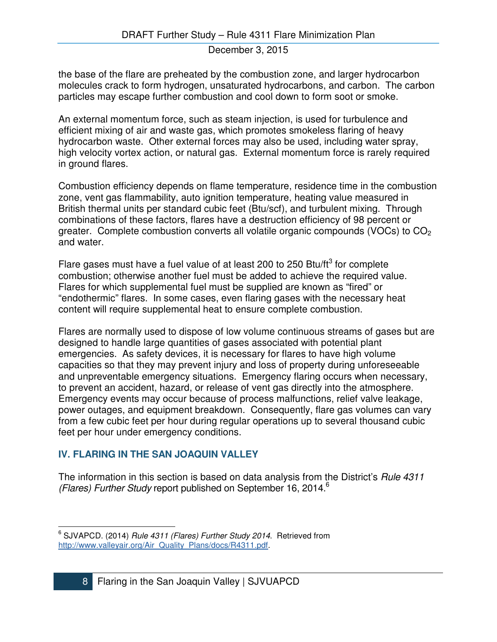the base of the flare are preheated by the combustion zone, and larger hydrocarbon molecules crack to form hydrogen, unsaturated hydrocarbons, and carbon. The carbon particles may escape further combustion and cool down to form soot or smoke.

An external momentum force, such as steam injection, is used for turbulence and efficient mixing of air and waste gas, which promotes smokeless flaring of heavy hydrocarbon waste. Other external forces may also be used, including water spray, high velocity vortex action, or natural gas. External momentum force is rarely required in ground flares.

Combustion efficiency depends on flame temperature, residence time in the combustion zone, vent gas flammability, auto ignition temperature, heating value measured in British thermal units per standard cubic feet (Btu/scf), and turbulent mixing. Through combinations of these factors, flares have a destruction efficiency of 98 percent or greater. Complete combustion converts all volatile organic compounds (VOCs) to  $CO<sub>2</sub>$ and water.

Flare gases must have a fuel value of at least 200 to 250 Btu/ft $3$  for complete combustion; otherwise another fuel must be added to achieve the required value. Flares for which supplemental fuel must be supplied are known as "fired" or "endothermic" flares. In some cases, even flaring gases with the necessary heat content will require supplemental heat to ensure complete combustion.

Flares are normally used to dispose of low volume continuous streams of gases but are designed to handle large quantities of gases associated with potential plant emergencies. As safety devices, it is necessary for flares to have high volume capacities so that they may prevent injury and loss of property during unforeseeable and unpreventable emergency situations. Emergency flaring occurs when necessary, to prevent an accident, hazard, or release of vent gas directly into the atmosphere. Emergency events may occur because of process malfunctions, relief valve leakage, power outages, and equipment breakdown. Consequently, flare gas volumes can vary from a few cubic feet per hour during regular operations up to several thousand cubic feet per hour under emergency conditions.

# **IV. FLARING IN THE SAN JOAQUIN VALLEY**

 $\overline{a}$ 

The information in this section is based on data analysis from the District's Rule 4311 (Flares) Further Study report published on September 16, 2014.<sup>6</sup>

<sup>&</sup>lt;sup>6</sup> SJVAPCD. (2014) Rule 4311 (Flares) Further Study 2014. Retrieved from http://www.valleyair.org/Air\_Quality\_Plans/docs/R4311.pdf.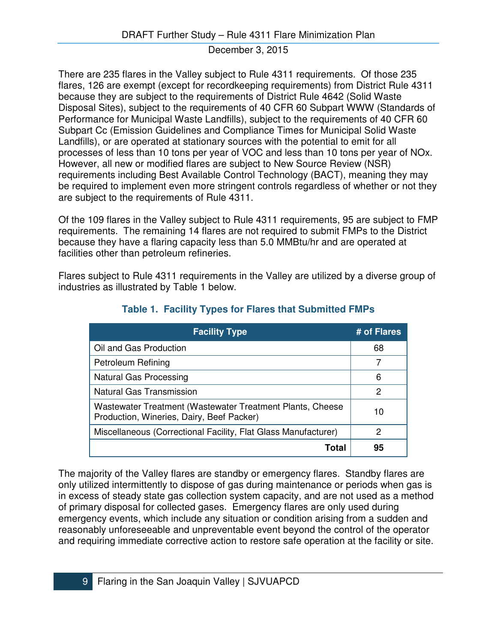There are 235 flares in the Valley subject to Rule 4311 requirements. Of those 235 flares, 126 are exempt (except for recordkeeping requirements) from District Rule 4311 because they are subject to the requirements of District Rule 4642 (Solid Waste Disposal Sites), subject to the requirements of 40 CFR 60 Subpart WWW (Standards of Performance for Municipal Waste Landfills), subject to the requirements of 40 CFR 60 Subpart Cc (Emission Guidelines and Compliance Times for Municipal Solid Waste Landfills), or are operated at stationary sources with the potential to emit for all processes of less than 10 tons per year of VOC and less than 10 tons per year of NOx. However, all new or modified flares are subject to New Source Review (NSR) requirements including Best Available Control Technology (BACT), meaning they may be required to implement even more stringent controls regardless of whether or not they are subject to the requirements of Rule 4311.

Of the 109 flares in the Valley subject to Rule 4311 requirements, 95 are subject to FMP requirements. The remaining 14 flares are not required to submit FMPs to the District because they have a flaring capacity less than 5.0 MMBtu/hr and are operated at facilities other than petroleum refineries.

Flares subject to Rule 4311 requirements in the Valley are utilized by a diverse group of industries as illustrated by Table 1 below.

| <b>Facility Type</b>                                                                                   | # of Flares |
|--------------------------------------------------------------------------------------------------------|-------------|
| Oil and Gas Production                                                                                 | 68          |
| Petroleum Refining                                                                                     | 7           |
| <b>Natural Gas Processing</b>                                                                          | 6           |
| <b>Natural Gas Transmission</b>                                                                        | 2           |
| Wastewater Treatment (Wastewater Treatment Plants, Cheese<br>Production, Wineries, Dairy, Beef Packer) | 10          |
| Miscellaneous (Correctional Facility, Flat Glass Manufacturer)                                         | 2           |
| Total                                                                                                  | 95          |

# **Table 1. Facility Types for Flares that Submitted FMPs**

The majority of the Valley flares are standby or emergency flares. Standby flares are only utilized intermittently to dispose of gas during maintenance or periods when gas is in excess of steady state gas collection system capacity, and are not used as a method of primary disposal for collected gases. Emergency flares are only used during emergency events, which include any situation or condition arising from a sudden and reasonably unforeseeable and unpreventable event beyond the control of the operator and requiring immediate corrective action to restore safe operation at the facility or site.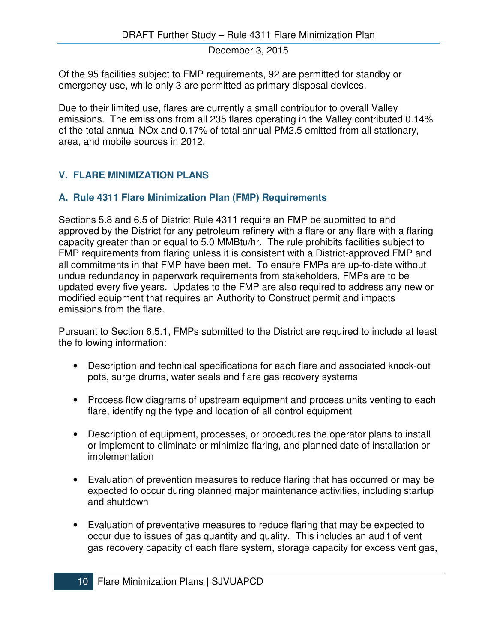Of the 95 facilities subject to FMP requirements, 92 are permitted for standby or emergency use, while only 3 are permitted as primary disposal devices.

Due to their limited use, flares are currently a small contributor to overall Valley emissions. The emissions from all 235 flares operating in the Valley contributed 0.14% of the total annual NOx and 0.17% of total annual PM2.5 emitted from all stationary, area, and mobile sources in 2012.

#### **V. FLARE MINIMIZATION PLANS**

#### **A. Rule 4311 Flare Minimization Plan (FMP) Requirements**

Sections 5.8 and 6.5 of District Rule 4311 require an FMP be submitted to and approved by the District for any petroleum refinery with a flare or any flare with a flaring capacity greater than or equal to 5.0 MMBtu/hr. The rule prohibits facilities subject to FMP requirements from flaring unless it is consistent with a District-approved FMP and all commitments in that FMP have been met. To ensure FMPs are up-to-date without undue redundancy in paperwork requirements from stakeholders, FMPs are to be updated every five years. Updates to the FMP are also required to address any new or modified equipment that requires an Authority to Construct permit and impacts emissions from the flare.

Pursuant to Section 6.5.1, FMPs submitted to the District are required to include at least the following information:

- Description and technical specifications for each flare and associated knock-out pots, surge drums, water seals and flare gas recovery systems
- Process flow diagrams of upstream equipment and process units venting to each flare, identifying the type and location of all control equipment
- Description of equipment, processes, or procedures the operator plans to install or implement to eliminate or minimize flaring, and planned date of installation or implementation
- Evaluation of prevention measures to reduce flaring that has occurred or may be expected to occur during planned major maintenance activities, including startup and shutdown
- Evaluation of preventative measures to reduce flaring that may be expected to occur due to issues of gas quantity and quality. This includes an audit of vent gas recovery capacity of each flare system, storage capacity for excess vent gas,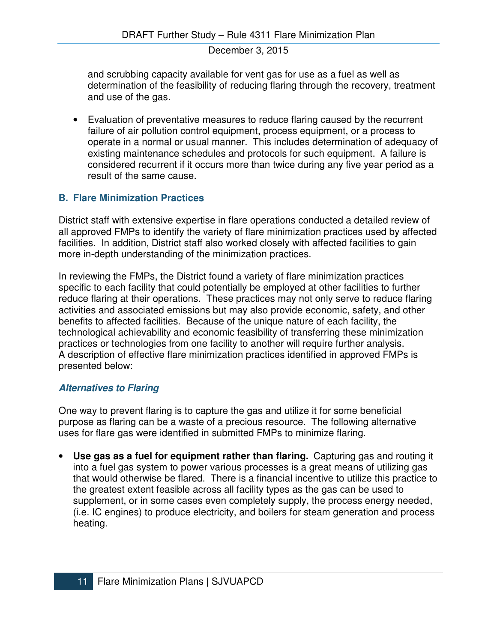and scrubbing capacity available for vent gas for use as a fuel as well as determination of the feasibility of reducing flaring through the recovery, treatment and use of the gas.

• Evaluation of preventative measures to reduce flaring caused by the recurrent failure of air pollution control equipment, process equipment, or a process to operate in a normal or usual manner. This includes determination of adequacy of existing maintenance schedules and protocols for such equipment. A failure is considered recurrent if it occurs more than twice during any five year period as a result of the same cause.

# **B. Flare Minimization Practices**

District staff with extensive expertise in flare operations conducted a detailed review of all approved FMPs to identify the variety of flare minimization practices used by affected facilities. In addition, District staff also worked closely with affected facilities to gain more in-depth understanding of the minimization practices.

In reviewing the FMPs, the District found a variety of flare minimization practices specific to each facility that could potentially be employed at other facilities to further reduce flaring at their operations. These practices may not only serve to reduce flaring activities and associated emissions but may also provide economic, safety, and other benefits to affected facilities. Because of the unique nature of each facility, the technological achievability and economic feasibility of transferring these minimization practices or technologies from one facility to another will require further analysis. A description of effective flare minimization practices identified in approved FMPs is presented below:

# **Alternatives to Flaring**

One way to prevent flaring is to capture the gas and utilize it for some beneficial purpose as flaring can be a waste of a precious resource. The following alternative uses for flare gas were identified in submitted FMPs to minimize flaring.

• Use gas as a fuel for equipment rather than flaring. Capturing gas and routing it into a fuel gas system to power various processes is a great means of utilizing gas that would otherwise be flared. There is a financial incentive to utilize this practice to the greatest extent feasible across all facility types as the gas can be used to supplement, or in some cases even completely supply, the process energy needed, (i.e. IC engines) to produce electricity, and boilers for steam generation and process heating.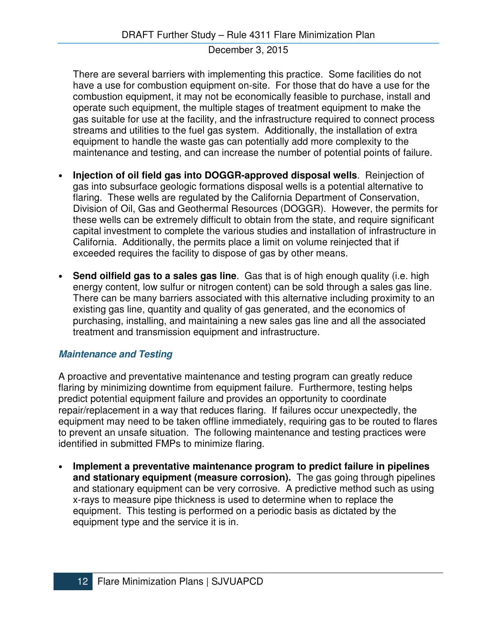There are several barriers with implementing this practice. Some facilities do not have a use for combustion equipment on-site. For those that do have a use for the combustion equipment, it may not be economically feasible to purchase, install and operate such equipment, the multiple stages of treatment equipment to make the gas suitable for use at the facility, and the infrastructure required to connect process streams and utilities to the fuel gas system. Additionally, the installation of extra equipment to handle the waste gas can potentially add more complexity to the maintenance and testing, and can increase the number of potential points of failure.

- **Injection of oil field gas into DOGGR-approved disposal wells**.Reinjection of gas into subsurface geologic formations disposal wells is a potential alternative to flaring. These wells are regulated by the California Department of Conservation, Division of Oil, Gas and Geothermal Resources (DOGGR). However, the permits for these wells can be extremely difficult to obtain from the state, and require significant capital investment to complete the various studies and installation of infrastructure in California. Additionally, the permits place a limit on volume reinjected that if exceeded requires the facility to dispose of gas by other means.
- **Send oilfield gas to a sales gas line**. Gas that is of high enough quality (i.e. high energy content, low sulfur or nitrogen content) can be sold through a sales gas line. There can be many barriers associated with this alternative including proximity to an existing gas line, quantity and quality of gas generated, and the economics of purchasing, installing, and maintaining a new sales gas line and all the associated treatment and transmission equipment and infrastructure.

#### **Maintenance and Testing**

A proactive and preventative maintenance and testing program can greatly reduce flaring by minimizing downtime from equipment failure. Furthermore, testing helps predict potential equipment failure and provides an opportunity to coordinate repair/replacement in a way that reduces flaring. If failures occur unexpectedly, the equipment may need to be taken offline immediately, requiring gas to be routed to flares to prevent an unsafe situation. The following maintenance and testing practices were identified in submitted FMPs to minimize flaring.

• **Implement a preventative maintenance program to predict failure in pipelines and stationary equipment (measure corrosion).** The gas going through pipelines and stationary equipment can be very corrosive. A predictive method such as using x-rays to measure pipe thickness is used to determine when to replace the equipment. This testing is performed on a periodic basis as dictated by the equipment type and the service it is in.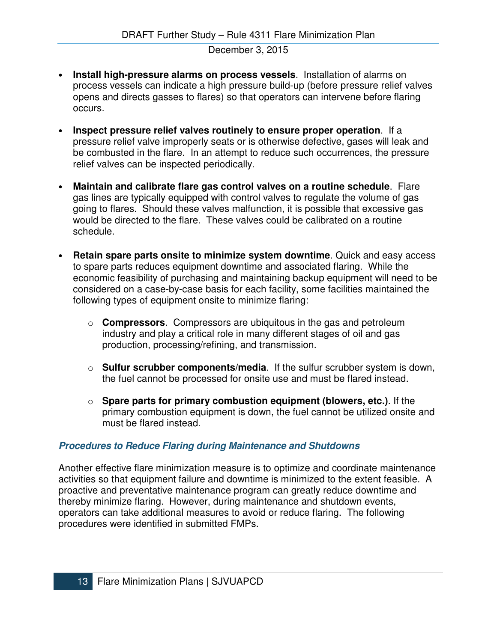- **Install high-pressure alarms on process vessels**. Installation of alarms on process vessels can indicate a high pressure build-up (before pressure relief valves opens and directs gasses to flares) so that operators can intervene before flaring occurs.
- **Inspect pressure relief valves routinely to ensure proper operation**. If a pressure relief valve improperly seats or is otherwise defective, gases will leak and be combusted in the flare. In an attempt to reduce such occurrences, the pressure relief valves can be inspected periodically.
- **Maintain and calibrate flare gas control valves on a routine schedule**. Flare gas lines are typically equipped with control valves to regulate the volume of gas going to flares. Should these valves malfunction, it is possible that excessive gas would be directed to the flare. These valves could be calibrated on a routine schedule.
- **Retain spare parts onsite to minimize system downtime**. Quick and easy access to spare parts reduces equipment downtime and associated flaring. While the economic feasibility of purchasing and maintaining backup equipment will need to be considered on a case-by-case basis for each facility, some facilities maintained the following types of equipment onsite to minimize flaring:
	- o **Compressors**. Compressors are ubiquitous in the gas and petroleum industry and play a critical role in many different stages of oil and gas production, processing/refining, and transmission.
	- o **Sulfur scrubber components/media**. If the sulfur scrubber system is down, the fuel cannot be processed for onsite use and must be flared instead.
	- o **Spare parts for primary combustion equipment (blowers, etc.)**. If the primary combustion equipment is down, the fuel cannot be utilized onsite and must be flared instead.

# **Procedures to Reduce Flaring during Maintenance and Shutdowns**

Another effective flare minimization measure is to optimize and coordinate maintenance activities so that equipment failure and downtime is minimized to the extent feasible. A proactive and preventative maintenance program can greatly reduce downtime and thereby minimize flaring. However, during maintenance and shutdown events, operators can take additional measures to avoid or reduce flaring. The following procedures were identified in submitted FMPs.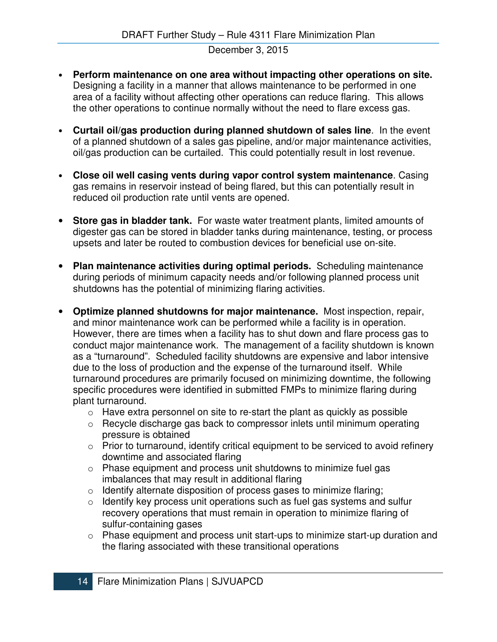- **Perform maintenance on one area without impacting other operations on site.** Designing a facility in a manner that allows maintenance to be performed in one area of a facility without affecting other operations can reduce flaring. This allows the other operations to continue normally without the need to flare excess gas.
- **Curtail oil/gas production during planned shutdown of sales line**. In the event of a planned shutdown of a sales gas pipeline, and/or major maintenance activities, oil/gas production can be curtailed. This could potentially result in lost revenue.
- **Close oil well casing vents during vapor control system maintenance**. Casing gas remains in reservoir instead of being flared, but this can potentially result in reduced oil production rate until vents are opened.
- **Store gas in bladder tank.** For waste water treatment plants, limited amounts of digester gas can be stored in bladder tanks during maintenance, testing, or process upsets and later be routed to combustion devices for beneficial use on-site.
- **Plan maintenance activities during optimal periods.** Scheduling maintenance during periods of minimum capacity needs and/or following planned process unit shutdowns has the potential of minimizing flaring activities.
- **Optimize planned shutdowns for major maintenance.** Most inspection, repair, and minor maintenance work can be performed while a facility is in operation. However, there are times when a facility has to shut down and flare process gas to conduct major maintenance work. The management of a facility shutdown is known as a "turnaround". Scheduled facility shutdowns are expensive and labor intensive due to the loss of production and the expense of the turnaround itself. While turnaround procedures are primarily focused on minimizing downtime, the following specific procedures were identified in submitted FMPs to minimize flaring during plant turnaround.
	- $\circ$  Have extra personnel on site to re-start the plant as quickly as possible
	- o Recycle discharge gas back to compressor inlets until minimum operating pressure is obtained
	- $\circ$  Prior to turnaround, identify critical equipment to be serviced to avoid refinery downtime and associated flaring
	- o Phase equipment and process unit shutdowns to minimize fuel gas imbalances that may result in additional flaring
	- o Identify alternate disposition of process gases to minimize flaring;
	- $\circ$  Identify key process unit operations such as fuel gas systems and sulfur recovery operations that must remain in operation to minimize flaring of sulfur-containing gases
	- o Phase equipment and process unit start-ups to minimize start-up duration and the flaring associated with these transitional operations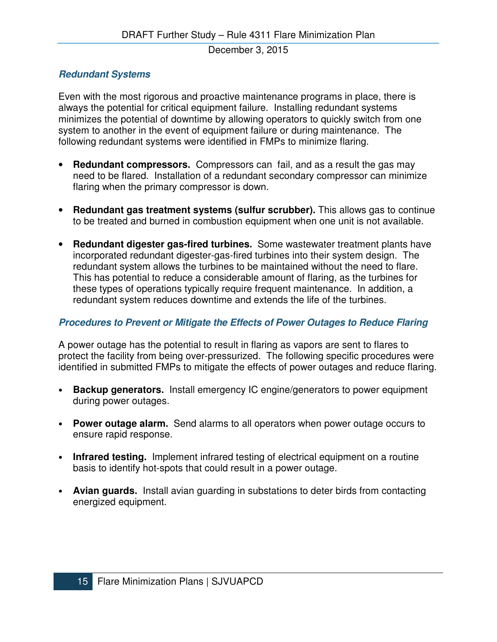# **Redundant Systems**

Even with the most rigorous and proactive maintenance programs in place, there is always the potential for critical equipment failure. Installing redundant systems minimizes the potential of downtime by allowing operators to quickly switch from one system to another in the event of equipment failure or during maintenance. The following redundant systems were identified in FMPs to minimize flaring.

- **Redundant compressors.** Compressors can fail, and as a result the gas may need to be flared. Installation of a redundant secondary compressor can minimize flaring when the primary compressor is down.
- **Redundant gas treatment systems (sulfur scrubber).** This allows gas to continue to be treated and burned in combustion equipment when one unit is not available.
- **Redundant digester gas-fired turbines.** Some wastewater treatment plants have incorporated redundant digester-gas-fired turbines into their system design. The redundant system allows the turbines to be maintained without the need to flare. This has potential to reduce a considerable amount of flaring, as the turbines for these types of operations typically require frequent maintenance. In addition, a redundant system reduces downtime and extends the life of the turbines.

#### **Procedures to Prevent or Mitigate the Effects of Power Outages to Reduce Flaring**

A power outage has the potential to result in flaring as vapors are sent to flares to protect the facility from being over-pressurized. The following specific procedures were identified in submitted FMPs to mitigate the effects of power outages and reduce flaring.

- **Backup generators.** Install emergency IC engine/generators to power equipment during power outages.
- **Power outage alarm.** Send alarms to all operators when power outage occurs to ensure rapid response.
- **Infrared testing.** Implement infrared testing of electrical equipment on a routine basis to identify hot-spots that could result in a power outage.
- **Avian guards.** Install avian guarding in substations to deter birds from contacting energized equipment.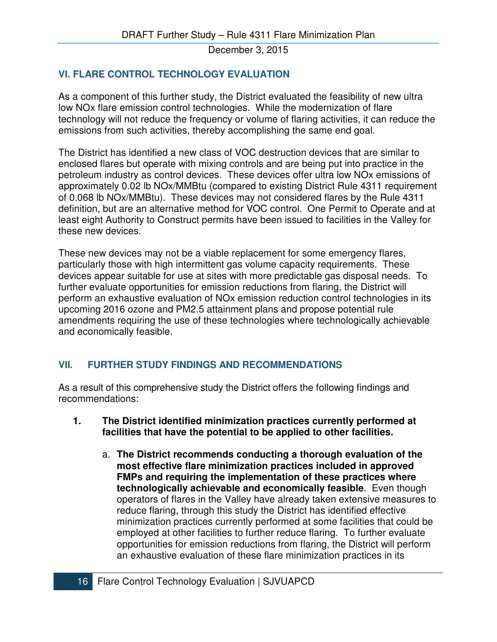# **VI. FLARE CONTROL TECHNOLOGY EVALUATION**

As a component of this further study, the District evaluated the feasibility of new ultra low NOx flare emission control technologies. While the modernization of flare technology will not reduce the frequency or volume of flaring activities, it can reduce the emissions from such activities, thereby accomplishing the same end goal.

The District has identified a new class of VOC destruction devices that are similar to enclosed flares but operate with mixing controls and are being put into practice in the petroleum industry as control devices. These devices offer ultra low NOx emissions of approximately 0.02 lb NOx/MMBtu (compared to existing District Rule 4311 requirement of 0.068 lb NOx/MMBtu). These devices may not considered flares by the Rule 4311 definition, but are an alternative method for VOC control. One Permit to Operate and at least eight Authority to Construct permits have been issued to facilities in the Valley for these new devices.

These new devices may not be a viable replacement for some emergency flares, particularly those with high intermittent gas volume capacity requirements. These devices appear suitable for use at sites with more predictable gas disposal needs. To further evaluate opportunities for emission reductions from flaring, the District will perform an exhaustive evaluation of NOx emission reduction control technologies in its upcoming 2016 ozone and PM2.5 attainment plans and propose potential rule amendments requiring the use of these technologies where technologically achievable and economically feasible.

# **VII. FURTHER STUDY FINDINGS AND RECOMMENDATIONS**

As a result of this comprehensive study the District offers the following findings and recommendations:

- **1. The District identified minimization practices currently performed at facilities that have the potential to be applied to other facilities.** 
	- a. **The District recommends conducting a thorough evaluation of the most effective flare minimization practices included in approved FMPs and requiring the implementation of these practices where technologically achievable and economically feasible**. Even though operators of flares in the Valley have already taken extensive measures to reduce flaring, through this study the District has identified effective minimization practices currently performed at some facilities that could be employed at other facilities to further reduce flaring. To further evaluate opportunities for emission reductions from flaring, the District will perform an exhaustive evaluation of these flare minimization practices in its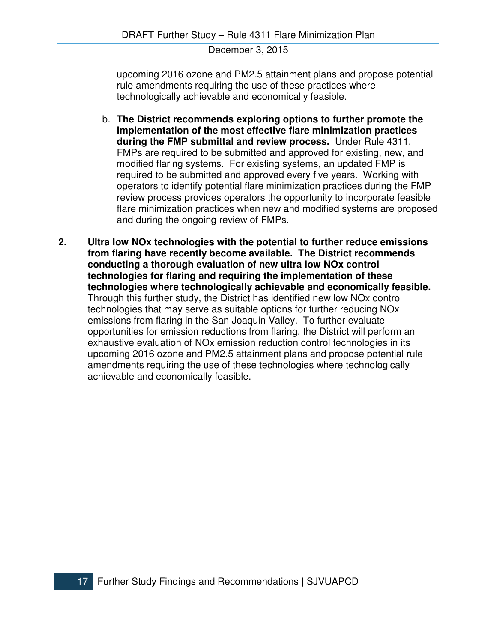upcoming 2016 ozone and PM2.5 attainment plans and propose potential rule amendments requiring the use of these practices where technologically achievable and economically feasible.

- b. **The District recommends exploring options to further promote the implementation of the most effective flare minimization practices during the FMP submittal and review process.** Under Rule 4311, FMPs are required to be submitted and approved for existing, new, and modified flaring systems. For existing systems, an updated FMP is required to be submitted and approved every five years. Working with operators to identify potential flare minimization practices during the FMP review process provides operators the opportunity to incorporate feasible flare minimization practices when new and modified systems are proposed and during the ongoing review of FMPs.
- **2. Ultra low NOx technologies with the potential to further reduce emissions from flaring have recently become available. The District recommends conducting a thorough evaluation of new ultra low NOx control technologies for flaring and requiring the implementation of these technologies where technologically achievable and economically feasible.**  Through this further study, the District has identified new low NOx control technologies that may serve as suitable options for further reducing NOx emissions from flaring in the San Joaquin Valley. To further evaluate opportunities for emission reductions from flaring, the District will perform an exhaustive evaluation of NOx emission reduction control technologies in its upcoming 2016 ozone and PM2.5 attainment plans and propose potential rule amendments requiring the use of these technologies where technologically achievable and economically feasible.